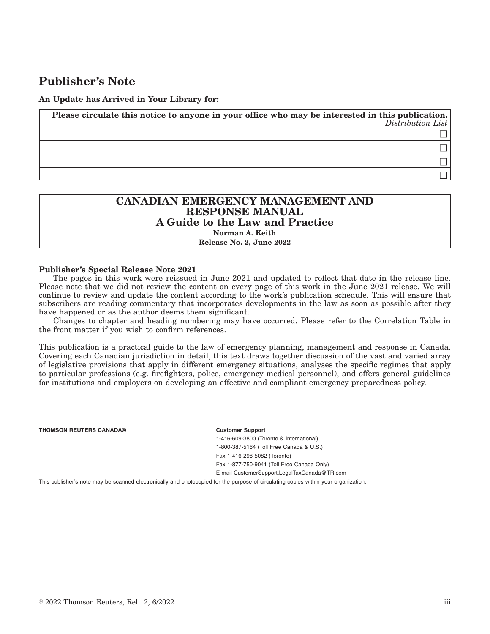# **Publisher's Note**

#### **An Update has Arrived in Your Library for:**

**Please circulate this notice to anyone in your office who may be interested in this publication.** *Distribution List*  $\Box$  $\Box$  $\Box$  $\Box$ 

## **CANADIAN EMERGENCY MANAGEMENT AND RESPONSE MANUAL A Guide to the Law and Practice Norman A. Keith**

#### **Release No. 2, June 2022**

#### **Publisher's Special Release Note 2021**

The pages in this work were reissued in June 2021 and updated to reflect that date in the release line. Please note that we did not review the content on every page of this work in the June 2021 release. We will continue to review and update the content according to the work's publication schedule. This will ensure that subscribers are reading commentary that incorporates developments in the law as soon as possible after they have happened or as the author deems them significant.

Changes to chapter and heading numbering may have occurred. Please refer to the Correlation Table in the front matter if you wish to confirm references.

This publication is a practical guide to the law of emergency planning, management and response in Canada. Covering each Canadian jurisdiction in detail, this text draws together discussion of the vast and varied array of legislative provisions that apply in different emergency situations, analyses the specific regimes that apply to particular professions (e.g. firefighters, police, emergency medical personnel), and offers general guidelines for institutions and employers on developing an effective and compliant emergency preparedness policy.

| <b>THOMSON REUTERS CANADA®</b> | <b>Customer Support</b>                                                                                                        |
|--------------------------------|--------------------------------------------------------------------------------------------------------------------------------|
|                                | 1-416-609-3800 (Toronto & International)                                                                                       |
|                                | 1-800-387-5164 (Toll Free Canada & U.S.)                                                                                       |
|                                | Fax 1-416-298-5082 (Toronto)                                                                                                   |
|                                | Fax 1-877-750-9041 (Toll Free Canada Only)                                                                                     |
|                                | E-mail CustomerSupport.LegalTaxCanada@TR.com                                                                                   |
|                                | This conditional case concerns a concern algorithm and observated from the compact of chamberlands control might composite and |

This publisher's note may be scanned electronically and photocopied for the purpose of circulating copies within your organization.